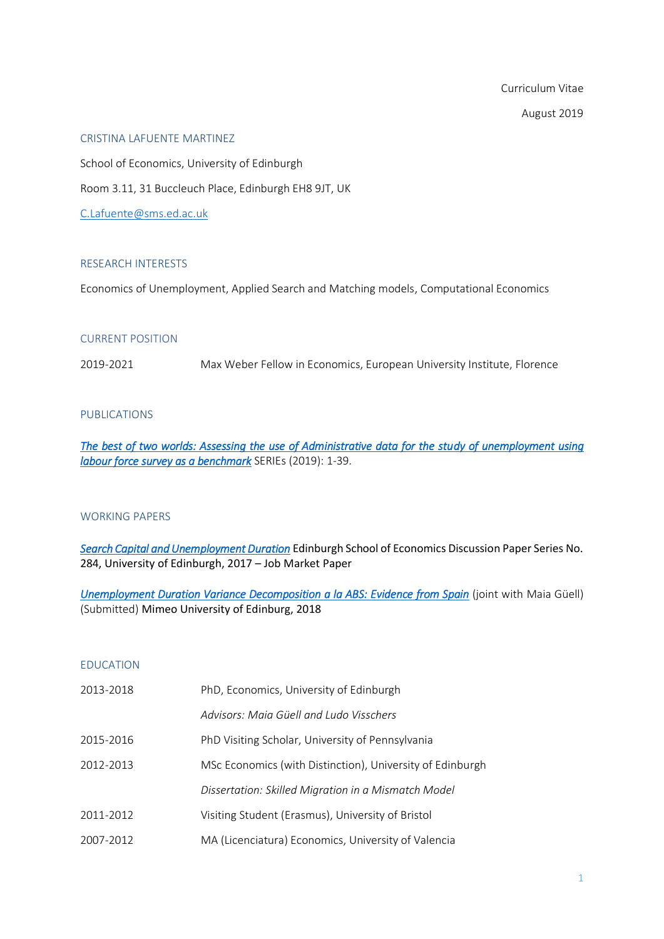Curriculum Vitae August 2019

#### CRISTINA LAFUENTE MARTINEZ

School of Economics, University of Edinburgh Room 3.11, 31 Buccleuch Place, Edinburgh EH8 9JT, UK [C.Lafuente@sms.ed.ac.uk](mailto:C.Lafuente@sms.ed.ac.uk)

## RESEARCH INTERESTS

Economics of Unemployment, Applied Search and Matching models, Computational Economics

### CURRENT POSITION

2019-2021 Max Weber Fellow in Economics, European University Institute, Florence

## PUBLICATIONS

*[The best of two worlds: Assessing the use of Administrative data for the study of unemployment using](https://link.springer.com/article/10.1007/s13209-019-0200-1)  [labour force survey as a benchmark](https://link.springer.com/article/10.1007/s13209-019-0200-1)* SERIEs (2019): 1-39.

#### WORKING PAPERS

*[Search Capital and Unemployment Duration](http://bit.ly/search-capital)* Edinburgh School of Economics Discussion Paper Series No. 284, University of Edinburgh, 2017 – Job Market Paper

*[Unemployment Duration Variance Decomposition a la ABS: Evidence from Spain](http://bit.ly/unemployment-variance-decomposition)* (joint with Maia Güell) (Submitted) Mimeo University of Edinburg, 2018

## EDUCATION

| 2013-2018 | PhD, Economics, University of Edinburgh                   |  |
|-----------|-----------------------------------------------------------|--|
|           | Advisors: Maia Güell and Ludo Visschers                   |  |
| 2015-2016 | PhD Visiting Scholar, University of Pennsylvania          |  |
| 2012-2013 | MSc Economics (with Distinction), University of Edinburgh |  |
|           | Dissertation: Skilled Migration in a Mismatch Model       |  |
| 2011-2012 | Visiting Student (Erasmus), University of Bristol         |  |
| 2007-2012 | MA (Licenciatura) Economics, University of Valencia       |  |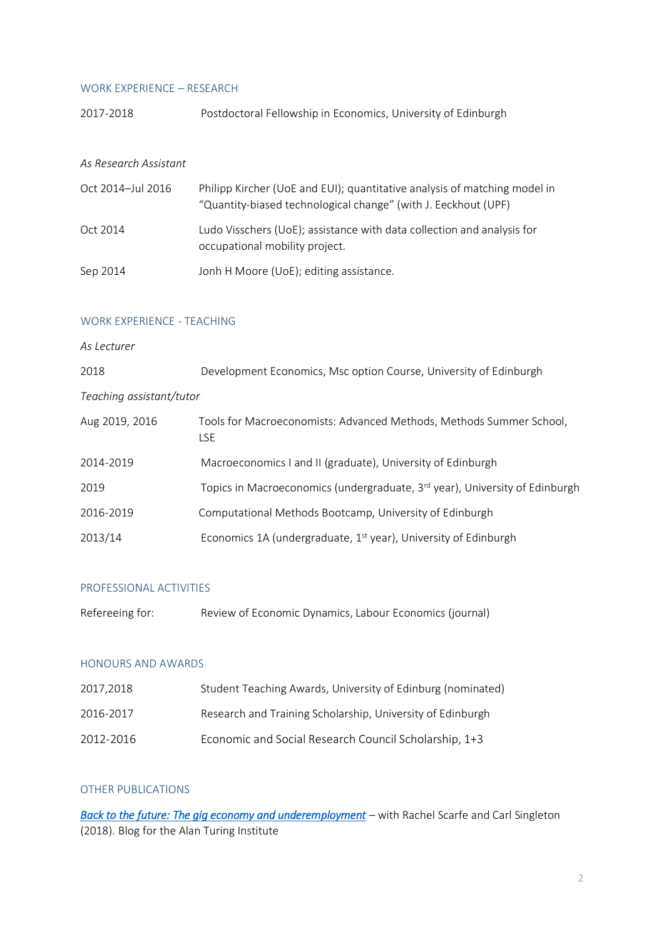#### WORK EXPERIENCE – RESEARCH

|           | Postdoctoral Fellowship in Economics, University of Edinburgh |  |  |
|-----------|---------------------------------------------------------------|--|--|
| 2017-2018 |                                                               |  |  |
|           |                                                               |  |  |
|           |                                                               |  |  |

## *As Research Assistant*

| Oct 2014-Jul 2016 | Philipp Kircher (UoE and EUI); quantitative analysis of matching model in<br>"Quantity-biased technological change" (with J. Eeckhout (UPF) |
|-------------------|---------------------------------------------------------------------------------------------------------------------------------------------|
| Oct 2014          | Ludo Visschers (UoE); assistance with data collection and analysis for<br>occupational mobility project.                                    |
| Sep 2014          | Jonh H Moore (UoE); editing assistance.                                                                                                     |

### WORK EXPERIENCE - TEACHING

## *As Lecturer*

| 2018     | Development Economics, Msc option Course, University of Edinburgh |
|----------|-------------------------------------------------------------------|
| $T = -1$ |                                                                   |

| Teaching assistant/tutor |  |
|--------------------------|--|
|                          |  |

| Aug 2019, 2016 | Tools for Macroeconomists: Advanced Methods, Methods Summer School,<br>LSE.             |
|----------------|-----------------------------------------------------------------------------------------|
| 2014-2019      | Macroeconomics I and II (graduate), University of Edinburgh                             |
| 2019           | Topics in Macroeconomics (undergraduate, 3 <sup>rd</sup> year), University of Edinburgh |
| 2016-2019      | Computational Methods Bootcamp, University of Edinburgh                                 |
| 2013/14        | Economics 1A (undergraduate, 1 <sup>st</sup> year), University of Edinburgh             |

## PROFESSIONAL ACTIVITIES

| Refereeing for: | Review of Economic Dynamics, Labour Economics (journal) |  |  |  |  |
|-----------------|---------------------------------------------------------|--|--|--|--|
|-----------------|---------------------------------------------------------|--|--|--|--|

## HONOURS AND AWARDS

| 2017.2018 | Student Teaching Awards, University of Edinburg (nominated) |
|-----------|-------------------------------------------------------------|
| 2016-2017 | Research and Training Scholarship, University of Edinburgh  |
| 2012-2016 | Economic and Social Research Council Scholarship, 1+3       |

# OTHER PUBLICATIONS

*[Back to the future: The gig economy and underemployment](https://www.turing.ac.uk/blog/back-future-gig-economy-and-underemployment)* – with Rachel Scarfe and Carl Singleton (2018). Blog for the Alan Turing Institute